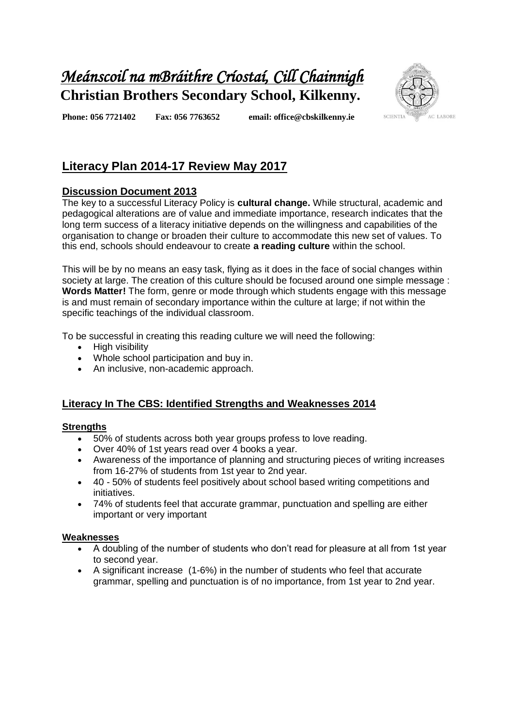# *Meánscoil na mBráithre Críostaí, Cill Chainnigh*  **Christian Brothers Secondary School, Kilkenny.**



**Phone: 056 7721402 Fax: 056 7763652 email: office@cbskilkenny.ie** 

# **Literacy Plan 2014-17 Review May 2017**

## **Discussion Document 2013**

The key to a successful Literacy Policy is **cultural change.** While structural, academic and pedagogical alterations are of value and immediate importance, research indicates that the long term success of a literacy initiative depends on the willingness and capabilities of the organisation to change or broaden their culture to accommodate this new set of values. To this end, schools should endeavour to create **a reading culture** within the school.

This will be by no means an easy task, flying as it does in the face of social changes within society at large. The creation of this culture should be focused around one simple message : **Words Matter!** The form, genre or mode through which students engage with this message is and must remain of secondary importance within the culture at large; if not within the specific teachings of the individual classroom.

To be successful in creating this reading culture we will need the following:

- High visibility
- Whole school participation and buy in.
- An inclusive, non-academic approach.

## **Literacy In The CBS: Identified Strengths and Weaknesses 2014**

### **Strengths**

- 50% of students across both year groups profess to love reading.
- Over 40% of 1st years read over 4 books a year.
- Awareness of the importance of planning and structuring pieces of writing increases from 16-27% of students from 1st year to 2nd year.
- 40 50% of students feel positively about school based writing competitions and initiatives.
- 74% of students feel that accurate grammar, punctuation and spelling are either important or very important

### **Weaknesses**

- A doubling of the number of students who don't read for pleasure at all from 1st year to second year.
- A significant increase (1-6%) in the number of students who feel that accurate grammar, spelling and punctuation is of no importance, from 1st year to 2nd year.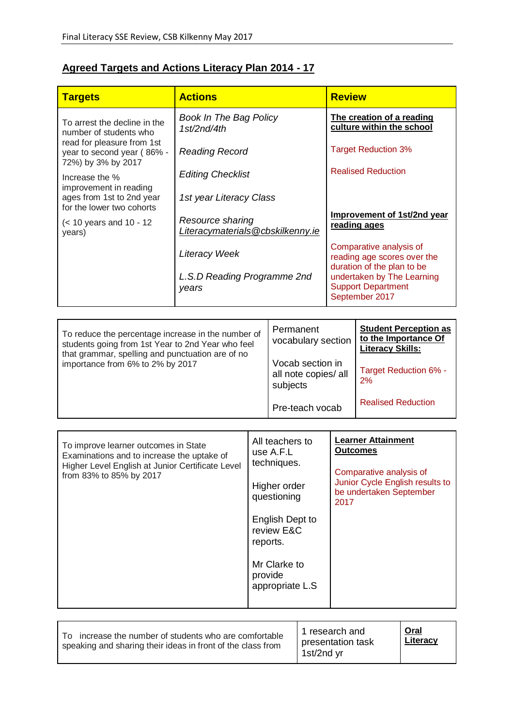# **Agreed Targets and Actions Literacy Plan 2014 - 17**

| <b>Targets</b>                                                                                                                                              | <b>Actions</b>                                       |                                             | <b>Review</b>                                       |                                                                                                                                               |                                                                                 |  |
|-------------------------------------------------------------------------------------------------------------------------------------------------------------|------------------------------------------------------|---------------------------------------------|-----------------------------------------------------|-----------------------------------------------------------------------------------------------------------------------------------------------|---------------------------------------------------------------------------------|--|
| <b>Book In The Bag Policy</b><br>To arrest the decline in the<br>1st/2nd/4th<br>number of students who                                                      |                                                      |                                             |                                                     |                                                                                                                                               | The creation of a reading<br>culture within the school                          |  |
| read for pleasure from 1st<br>year to second year (86% -<br>72%) by 3% by 2017                                                                              | <b>Reading Record</b>                                |                                             |                                                     | <b>Target Reduction 3%</b>                                                                                                                    |                                                                                 |  |
| Increase the %<br>improvement in reading                                                                                                                    | <b>Editing Checklist</b>                             |                                             |                                                     |                                                                                                                                               | <b>Realised Reduction</b>                                                       |  |
| ages from 1st to 2nd year<br>for the lower two cohorts                                                                                                      |                                                      | 1st year Literacy Class                     |                                                     |                                                                                                                                               |                                                                                 |  |
| $\approx$ 10 years and 10 - 12<br>years)                                                                                                                    | Resource sharing<br>Literacymaterials@cbskilkenny.ie |                                             |                                                     | Improvement of 1st/2nd year<br>reading ages                                                                                                   |                                                                                 |  |
|                                                                                                                                                             | <b>Literacy Week</b>                                 |                                             |                                                     |                                                                                                                                               | Comparative analysis of<br>reading age scores over the                          |  |
|                                                                                                                                                             | L.S.D Reading Programme 2nd<br>years                 |                                             |                                                     | duration of the plan to be<br>undertaken by The Learning<br><b>Support Department</b><br>September 2017                                       |                                                                                 |  |
|                                                                                                                                                             |                                                      |                                             |                                                     |                                                                                                                                               |                                                                                 |  |
| To reduce the percentage increase in the number of<br>students going from 1st Year to 2nd Year who feel<br>that grammar, spelling and punctuation are of no |                                                      |                                             | Permanent<br>vocabulary section<br>Vocab section in |                                                                                                                                               | <b>Student Perception as</b><br>to the Importance Of<br><b>Literacy Skills:</b> |  |
| importance from 6% to 2% by 2017                                                                                                                            |                                                      |                                             | all note copies/ all<br>subjects                    |                                                                                                                                               | Target Reduction 6% -<br>2%                                                     |  |
|                                                                                                                                                             |                                                      |                                             | Pre-teach vocab                                     |                                                                                                                                               | <b>Realised Reduction</b>                                                       |  |
|                                                                                                                                                             |                                                      |                                             |                                                     |                                                                                                                                               |                                                                                 |  |
| To improve learner outcomes in State<br>Examinations and to increase the uptake of<br>Higher Level English at Junior Certificate Level                      |                                                      | All teachers to<br>use A.F.L<br>techniques. |                                                     | <b>Learner Attainment</b><br><b>Outcomes</b><br>Comparative analysis of<br>Junior Cycle English results to<br>be undertaken September<br>2017 |                                                                                 |  |
| from 83% to 85% by 2017                                                                                                                                     |                                                      | Higher order<br>questioning                 |                                                     |                                                                                                                                               |                                                                                 |  |
|                                                                                                                                                             |                                                      | English Dept to<br>review E&C<br>reports.   |                                                     |                                                                                                                                               |                                                                                 |  |
|                                                                                                                                                             |                                                      | Mr Clarke to<br>provide<br>appropriate L.S  |                                                     |                                                                                                                                               |                                                                                 |  |

| increase the number of students who are comfortable<br>speaking and sharing their ideas in front of the class from | l 1 research and<br>presentation task<br>1st/2nd yr | Oral<br>Literacy |
|--------------------------------------------------------------------------------------------------------------------|-----------------------------------------------------|------------------|
|--------------------------------------------------------------------------------------------------------------------|-----------------------------------------------------|------------------|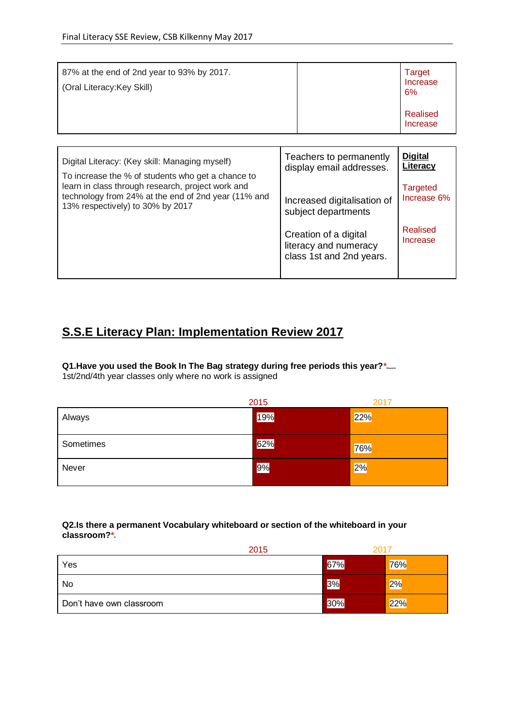| <b>Digital</b><br>Teachers to permanently<br>Digital Literacy: (Key skill: Managing myself)<br>Literacy<br>display email addresses.<br>To increase the % of students who get a chance to<br>learn in class through research, project work and<br><b>Targeted</b><br>technology from 24% at the end of 2nd year (11% and<br>Increase 6%<br>Increased digitalisation of<br>13% respectively) to 30% by 2017<br>subject departments<br>Realised<br>Creation of a digital<br>Increase<br>literacy and numeracy | 87% at the end of 2nd year to 93% by 2017.<br>(Oral Literacy: Key Skill) |                          | Target<br>Increase<br>6%<br>Realised<br>Increase |
|------------------------------------------------------------------------------------------------------------------------------------------------------------------------------------------------------------------------------------------------------------------------------------------------------------------------------------------------------------------------------------------------------------------------------------------------------------------------------------------------------------|--------------------------------------------------------------------------|--------------------------|--------------------------------------------------|
|                                                                                                                                                                                                                                                                                                                                                                                                                                                                                                            |                                                                          |                          |                                                  |
|                                                                                                                                                                                                                                                                                                                                                                                                                                                                                                            |                                                                          | class 1st and 2nd years. |                                                  |

# **S.S.E Literacy Plan: Implementation Review 2017**

### **Q1.Have you used the Book In The Bag strategy during free periods this year?\***

1st/2nd/4th year classes only where no work is assigned

|           | 2015 | 2017 |
|-----------|------|------|
| Always    | 19%  | 22%  |
| Sometimes | 62%  | 76%  |
| Never     | 9%   | 2%   |

#### **Q2.Is there a permanent Vocabulary whiteboard or section of the whiteboard in your classroom?\***

| 2015                     | 201 |     |
|--------------------------|-----|-----|
| Yes                      | 67% | 76% |
| No                       | 3%  | 2%  |
| Don't have own classroom | 30% | 22% |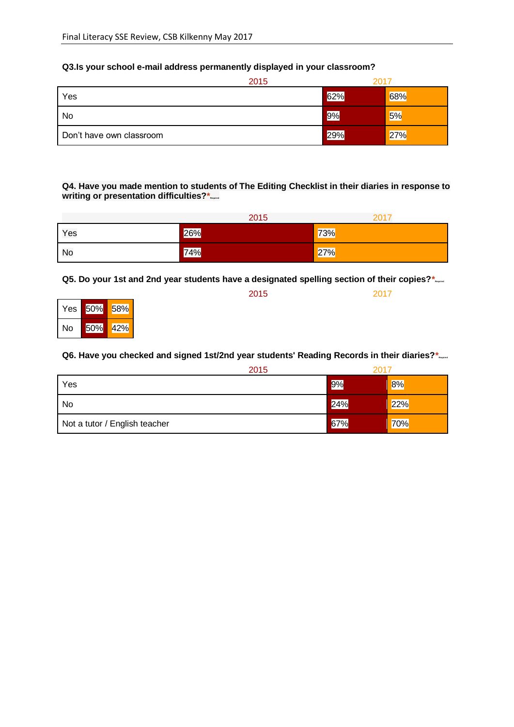### **Q3.Is your school e-mail address permanently displayed in your classroom?**

|                          | 2015 | 2011 |     |
|--------------------------|------|------|-----|
| Yes                      |      | 62%  | 68% |
| No                       |      | 9%   | 5%  |
| Don't have own classroom |      | 29%  | 27% |

#### **Q4. Have you made mention to students of The Editing Checklist in their diaries in response to writing or presentation difficulties?**\*

|     | 2015 | 2017 |
|-----|------|------|
| Yes | 26%  | 73%  |
| No  | 74%  | 27%  |

**Q5. Do your 1st and 2nd year students have a designated spelling section of their copies?\*** 

|    |             | 2015 | 2017 |
|----|-------------|------|------|
|    | Yes 50% 58% |      |      |
| No | 50% 42%     |      |      |

#### **Q6. Have you checked and signed 1st/2nd year students' Reading Records in their diaries?\***

|                               | 2015 | 2017 |     |
|-------------------------------|------|------|-----|
| Yes                           |      | 9%   | 8%  |
| No                            |      | 24%  | 22% |
| Not a tutor / English teacher |      | 67%  | 70% |